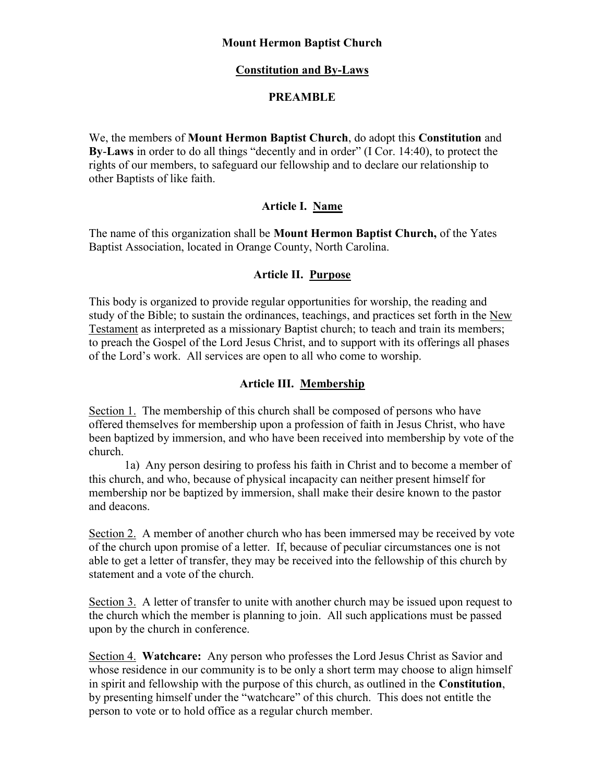### Mount Hermon Baptist Church

## Constitution and By-Laws

## **PREAMBLE**

We, the members of Mount Hermon Baptist Church, do adopt this Constitution and By-Laws in order to do all things "decently and in order" (I Cor. 14:40), to protect the rights of our members, to safeguard our fellowship and to declare our relationship to other Baptists of like faith.

## Article I. Name

The name of this organization shall be Mount Hermon Baptist Church, of the Yates Baptist Association, located in Orange County, North Carolina.

## Article II. Purpose

This body is organized to provide regular opportunities for worship, the reading and study of the Bible; to sustain the ordinances, teachings, and practices set forth in the New Testament as interpreted as a missionary Baptist church; to teach and train its members; to preach the Gospel of the Lord Jesus Christ, and to support with its offerings all phases of the Lord's work. All services are open to all who come to worship.

## Article III. Membership

Section 1. The membership of this church shall be composed of persons who have offered themselves for membership upon a profession of faith in Jesus Christ, who have been baptized by immersion, and who have been received into membership by vote of the church.

 1a) Any person desiring to profess his faith in Christ and to become a member of this church, and who, because of physical incapacity can neither present himself for membership nor be baptized by immersion, shall make their desire known to the pastor and deacons.

Section 2. A member of another church who has been immersed may be received by vote of the church upon promise of a letter. If, because of peculiar circumstances one is not able to get a letter of transfer, they may be received into the fellowship of this church by statement and a vote of the church.

Section 3. A letter of transfer to unite with another church may be issued upon request to the church which the member is planning to join. All such applications must be passed upon by the church in conference.

Section 4. Watchcare: Any person who professes the Lord Jesus Christ as Savior and whose residence in our community is to be only a short term may choose to align himself in spirit and fellowship with the purpose of this church, as outlined in the Constitution, by presenting himself under the "watchcare" of this church. This does not entitle the person to vote or to hold office as a regular church member.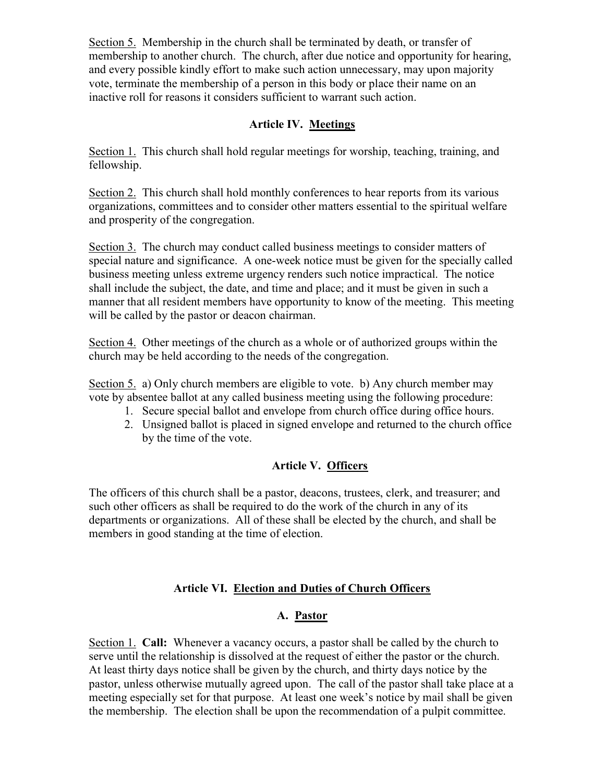Section 5. Membership in the church shall be terminated by death, or transfer of membership to another church. The church, after due notice and opportunity for hearing, and every possible kindly effort to make such action unnecessary, may upon majority vote, terminate the membership of a person in this body or place their name on an inactive roll for reasons it considers sufficient to warrant such action.

# Article IV. Meetings

Section 1. This church shall hold regular meetings for worship, teaching, training, and fellowship.

Section 2. This church shall hold monthly conferences to hear reports from its various organizations, committees and to consider other matters essential to the spiritual welfare and prosperity of the congregation.

Section 3. The church may conduct called business meetings to consider matters of special nature and significance. A one-week notice must be given for the specially called business meeting unless extreme urgency renders such notice impractical. The notice shall include the subject, the date, and time and place; and it must be given in such a manner that all resident members have opportunity to know of the meeting. This meeting will be called by the pastor or deacon chairman.

Section 4. Other meetings of the church as a whole or of authorized groups within the church may be held according to the needs of the congregation.

Section 5. a) Only church members are eligible to vote. b) Any church member may vote by absentee ballot at any called business meeting using the following procedure:

- 1. Secure special ballot and envelope from church office during office hours.
- 2. Unsigned ballot is placed in signed envelope and returned to the church office by the time of the vote.

# Article V. Officers

The officers of this church shall be a pastor, deacons, trustees, clerk, and treasurer; and such other officers as shall be required to do the work of the church in any of its departments or organizations. All of these shall be elected by the church, and shall be members in good standing at the time of election.

# Article VI. Election and Duties of Church Officers

# A. Pastor

Section 1. Call: Whenever a vacancy occurs, a pastor shall be called by the church to serve until the relationship is dissolved at the request of either the pastor or the church. At least thirty days notice shall be given by the church, and thirty days notice by the pastor, unless otherwise mutually agreed upon. The call of the pastor shall take place at a meeting especially set for that purpose. At least one week's notice by mail shall be given the membership. The election shall be upon the recommendation of a pulpit committee.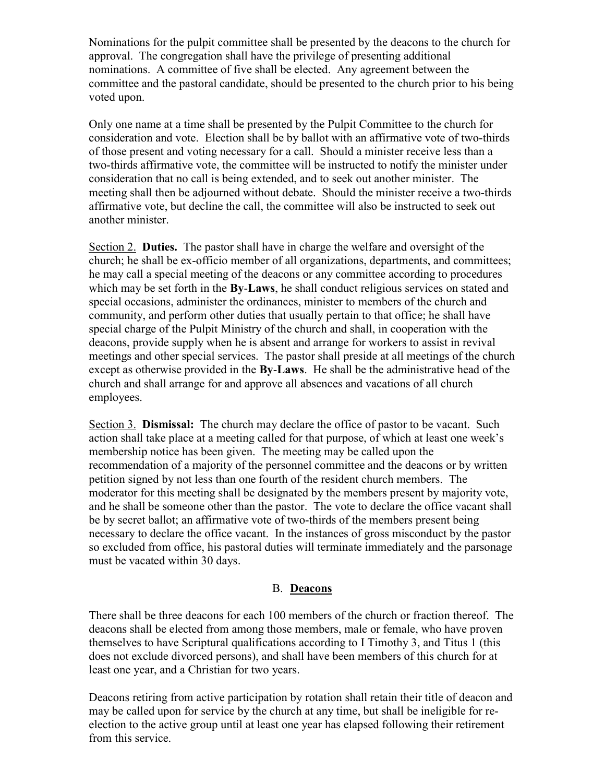Nominations for the pulpit committee shall be presented by the deacons to the church for approval. The congregation shall have the privilege of presenting additional nominations. A committee of five shall be elected. Any agreement between the committee and the pastoral candidate, should be presented to the church prior to his being voted upon.

Only one name at a time shall be presented by the Pulpit Committee to the church for consideration and vote. Election shall be by ballot with an affirmative vote of two-thirds of those present and voting necessary for a call. Should a minister receive less than a two-thirds affirmative vote, the committee will be instructed to notify the minister under consideration that no call is being extended, and to seek out another minister. The meeting shall then be adjourned without debate. Should the minister receive a two-thirds affirmative vote, but decline the call, the committee will also be instructed to seek out another minister.

Section 2. Duties. The pastor shall have in charge the welfare and oversight of the church; he shall be ex-officio member of all organizations, departments, and committees; he may call a special meeting of the deacons or any committee according to procedures which may be set forth in the **By-Laws**, he shall conduct religious services on stated and special occasions, administer the ordinances, minister to members of the church and community, and perform other duties that usually pertain to that office; he shall have special charge of the Pulpit Ministry of the church and shall, in cooperation with the deacons, provide supply when he is absent and arrange for workers to assist in revival meetings and other special services. The pastor shall preside at all meetings of the church except as otherwise provided in the **By-Laws**. He shall be the administrative head of the church and shall arrange for and approve all absences and vacations of all church employees.

Section 3. **Dismissal:** The church may declare the office of pastor to be vacant. Such action shall take place at a meeting called for that purpose, of which at least one week's membership notice has been given. The meeting may be called upon the recommendation of a majority of the personnel committee and the deacons or by written petition signed by not less than one fourth of the resident church members. The moderator for this meeting shall be designated by the members present by majority vote, and he shall be someone other than the pastor. The vote to declare the office vacant shall be by secret ballot; an affirmative vote of two-thirds of the members present being necessary to declare the office vacant. In the instances of gross misconduct by the pastor so excluded from office, his pastoral duties will terminate immediately and the parsonage must be vacated within 30 days.

#### B. Deacons

There shall be three deacons for each 100 members of the church or fraction thereof. The deacons shall be elected from among those members, male or female, who have proven themselves to have Scriptural qualifications according to I Timothy 3, and Titus 1 (this does not exclude divorced persons), and shall have been members of this church for at least one year, and a Christian for two years.

Deacons retiring from active participation by rotation shall retain their title of deacon and may be called upon for service by the church at any time, but shall be ineligible for reelection to the active group until at least one year has elapsed following their retirement from this service.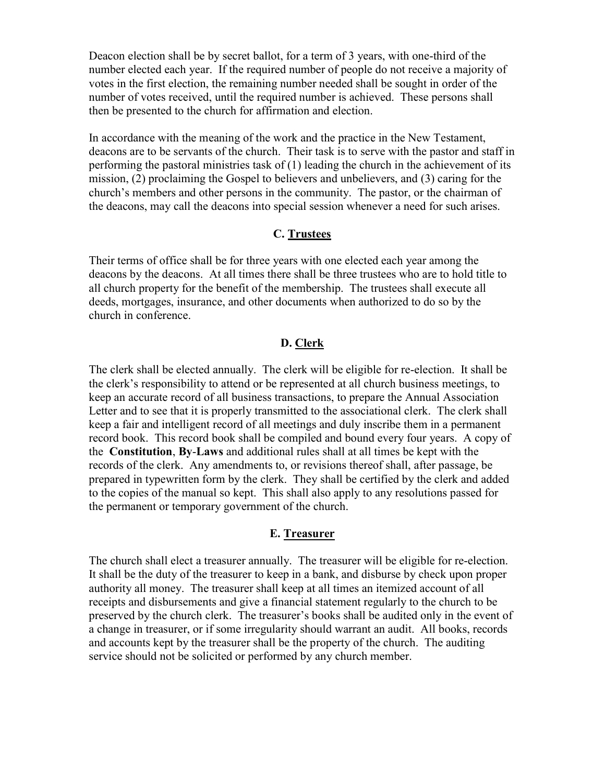Deacon election shall be by secret ballot, for a term of 3 years, with one-third of the number elected each year. If the required number of people do not receive a majority of votes in the first election, the remaining number needed shall be sought in order of the number of votes received, until the required number is achieved. These persons shall then be presented to the church for affirmation and election.

In accordance with the meaning of the work and the practice in the New Testament, deacons are to be servants of the church. Their task is to serve with the pastor and staff in performing the pastoral ministries task of (1) leading the church in the achievement of its mission, (2) proclaiming the Gospel to believers and unbelievers, and (3) caring for the church's members and other persons in the community. The pastor, or the chairman of the deacons, may call the deacons into special session whenever a need for such arises.

### C. Trustees

Their terms of office shall be for three years with one elected each year among the deacons by the deacons. At all times there shall be three trustees who are to hold title to all church property for the benefit of the membership. The trustees shall execute all deeds, mortgages, insurance, and other documents when authorized to do so by the church in conference.

#### D. Clerk

The clerk shall be elected annually. The clerk will be eligible for re-election. It shall be the clerk's responsibility to attend or be represented at all church business meetings, to keep an accurate record of all business transactions, to prepare the Annual Association Letter and to see that it is properly transmitted to the associational clerk. The clerk shall keep a fair and intelligent record of all meetings and duly inscribe them in a permanent record book. This record book shall be compiled and bound every four years. A copy of the Constitution, By-Laws and additional rules shall at all times be kept with the records of the clerk. Any amendments to, or revisions thereof shall, after passage, be prepared in typewritten form by the clerk. They shall be certified by the clerk and added to the copies of the manual so kept. This shall also apply to any resolutions passed for the permanent or temporary government of the church.

#### E. Treasurer

The church shall elect a treasurer annually. The treasurer will be eligible for re-election. It shall be the duty of the treasurer to keep in a bank, and disburse by check upon proper authority all money. The treasurer shall keep at all times an itemized account of all receipts and disbursements and give a financial statement regularly to the church to be preserved by the church clerk. The treasurer's books shall be audited only in the event of a change in treasurer, or if some irregularity should warrant an audit. All books, records and accounts kept by the treasurer shall be the property of the church. The auditing service should not be solicited or performed by any church member.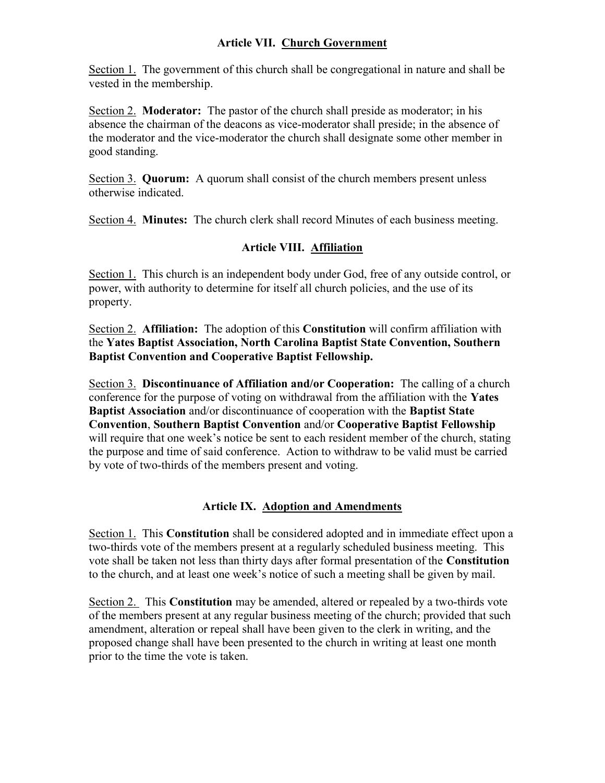## Article VII. Church Government

Section 1. The government of this church shall be congregational in nature and shall be vested in the membership.

Section 2. Moderator: The pastor of the church shall preside as moderator; in his absence the chairman of the deacons as vice-moderator shall preside; in the absence of the moderator and the vice-moderator the church shall designate some other member in good standing.

Section 3. Quorum: A quorum shall consist of the church members present unless otherwise indicated.

Section 4. Minutes: The church clerk shall record Minutes of each business meeting.

# Article VIII. Affiliation

Section 1. This church is an independent body under God, free of any outside control, or power, with authority to determine for itself all church policies, and the use of its property.

Section 2. Affiliation: The adoption of this Constitution will confirm affiliation with the Yates Baptist Association, North Carolina Baptist State Convention, Southern Baptist Convention and Cooperative Baptist Fellowship.

Section 3. Discontinuance of Affiliation and/or Cooperation: The calling of a church conference for the purpose of voting on withdrawal from the affiliation with the Yates Baptist Association and/or discontinuance of cooperation with the Baptist State Convention, Southern Baptist Convention and/or Cooperative Baptist Fellowship will require that one week's notice be sent to each resident member of the church, stating the purpose and time of said conference. Action to withdraw to be valid must be carried by vote of two-thirds of the members present and voting.

## Article IX. Adoption and Amendments

Section 1. This Constitution shall be considered adopted and in immediate effect upon a two-thirds vote of the members present at a regularly scheduled business meeting. This vote shall be taken not less than thirty days after formal presentation of the Constitution to the church, and at least one week's notice of such a meeting shall be given by mail.

Section 2. This Constitution may be amended, altered or repealed by a two-thirds vote of the members present at any regular business meeting of the church; provided that such amendment, alteration or repeal shall have been given to the clerk in writing, and the proposed change shall have been presented to the church in writing at least one month prior to the time the vote is taken.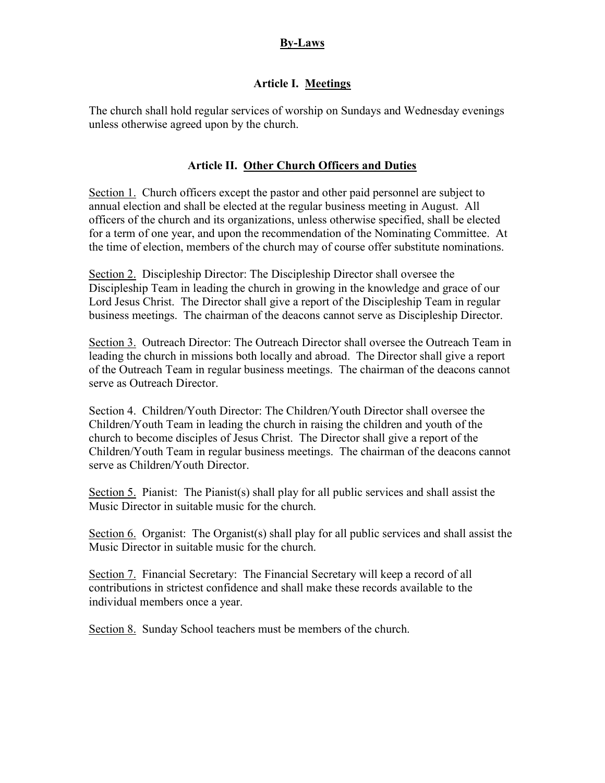## By-Laws

## Article I. Meetings

The church shall hold regular services of worship on Sundays and Wednesday evenings unless otherwise agreed upon by the church.

## Article II. Other Church Officers and Duties

Section 1. Church officers except the pastor and other paid personnel are subject to annual election and shall be elected at the regular business meeting in August. All officers of the church and its organizations, unless otherwise specified, shall be elected for a term of one year, and upon the recommendation of the Nominating Committee. At the time of election, members of the church may of course offer substitute nominations.

Section 2. Discipleship Director: The Discipleship Director shall oversee the Discipleship Team in leading the church in growing in the knowledge and grace of our Lord Jesus Christ. The Director shall give a report of the Discipleship Team in regular business meetings. The chairman of the deacons cannot serve as Discipleship Director.

Section 3. Outreach Director: The Outreach Director shall oversee the Outreach Team in leading the church in missions both locally and abroad. The Director shall give a report of the Outreach Team in regular business meetings. The chairman of the deacons cannot serve as Outreach Director.

Section 4. Children/Youth Director: The Children/Youth Director shall oversee the Children/Youth Team in leading the church in raising the children and youth of the church to become disciples of Jesus Christ. The Director shall give a report of the Children/Youth Team in regular business meetings. The chairman of the deacons cannot serve as Children/Youth Director.

Section 5. Pianist: The Pianist(s) shall play for all public services and shall assist the Music Director in suitable music for the church.

Section 6. Organist: The Organist(s) shall play for all public services and shall assist the Music Director in suitable music for the church.

Section 7. Financial Secretary: The Financial Secretary will keep a record of all contributions in strictest confidence and shall make these records available to the individual members once a year.

Section 8. Sunday School teachers must be members of the church.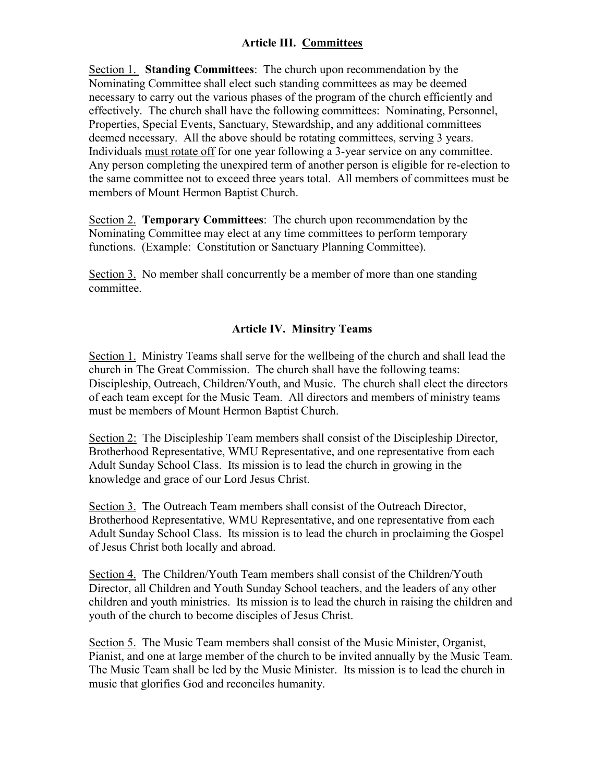# Article III. Committees

Section 1. Standing Committees: The church upon recommendation by the Nominating Committee shall elect such standing committees as may be deemed necessary to carry out the various phases of the program of the church efficiently and effectively. The church shall have the following committees: Nominating, Personnel, Properties, Special Events, Sanctuary, Stewardship, and any additional committees deemed necessary. All the above should be rotating committees, serving 3 years. Individuals must rotate off for one year following a 3-year service on any committee. Any person completing the unexpired term of another person is eligible for re-election to the same committee not to exceed three years total. All members of committees must be members of Mount Hermon Baptist Church.

Section 2. Temporary Committees: The church upon recommendation by the Nominating Committee may elect at any time committees to perform temporary functions. (Example: Constitution or Sanctuary Planning Committee).

Section 3. No member shall concurrently be a member of more than one standing committee.

## Article IV. Minsitry Teams

Section 1. Ministry Teams shall serve for the wellbeing of the church and shall lead the church in The Great Commission. The church shall have the following teams: Discipleship, Outreach, Children/Youth, and Music. The church shall elect the directors of each team except for the Music Team. All directors and members of ministry teams must be members of Mount Hermon Baptist Church.

Section 2: The Discipleship Team members shall consist of the Discipleship Director, Brotherhood Representative, WMU Representative, and one representative from each Adult Sunday School Class. Its mission is to lead the church in growing in the knowledge and grace of our Lord Jesus Christ.

Section 3. The Outreach Team members shall consist of the Outreach Director, Brotherhood Representative, WMU Representative, and one representative from each Adult Sunday School Class. Its mission is to lead the church in proclaiming the Gospel of Jesus Christ both locally and abroad.

Section 4. The Children/Youth Team members shall consist of the Children/Youth Director, all Children and Youth Sunday School teachers, and the leaders of any other children and youth ministries. Its mission is to lead the church in raising the children and youth of the church to become disciples of Jesus Christ.

Section 5. The Music Team members shall consist of the Music Minister, Organist, Pianist, and one at large member of the church to be invited annually by the Music Team. The Music Team shall be led by the Music Minister. Its mission is to lead the church in music that glorifies God and reconciles humanity.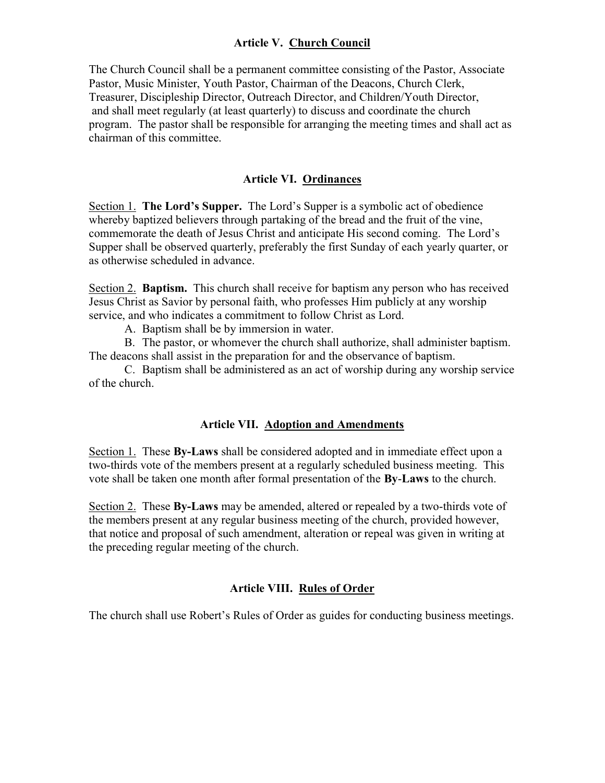## Article V. Church Council

The Church Council shall be a permanent committee consisting of the Pastor, Associate Pastor, Music Minister, Youth Pastor, Chairman of the Deacons, Church Clerk, Treasurer, Discipleship Director, Outreach Director, and Children/Youth Director, and shall meet regularly (at least quarterly) to discuss and coordinate the church program. The pastor shall be responsible for arranging the meeting times and shall act as chairman of this committee.

### Article VI. Ordinances

Section 1. The Lord's Supper. The Lord's Supper is a symbolic act of obedience whereby baptized believers through partaking of the bread and the fruit of the vine, commemorate the death of Jesus Christ and anticipate His second coming. The Lord's Supper shall be observed quarterly, preferably the first Sunday of each yearly quarter, or as otherwise scheduled in advance.

Section 2. **Baptism.** This church shall receive for baptism any person who has received Jesus Christ as Savior by personal faith, who professes Him publicly at any worship service, and who indicates a commitment to follow Christ as Lord.

A. Baptism shall be by immersion in water.

B. The pastor, or whomever the church shall authorize, shall administer baptism. The deacons shall assist in the preparation for and the observance of baptism.

C. Baptism shall be administered as an act of worship during any worship service of the church.

### Article VII. Adoption and Amendments

Section 1. These By-Laws shall be considered adopted and in immediate effect upon a two-thirds vote of the members present at a regularly scheduled business meeting. This vote shall be taken one month after formal presentation of the By-Laws to the church.

Section 2. These By-Laws may be amended, altered or repealed by a two-thirds vote of the members present at any regular business meeting of the church, provided however, that notice and proposal of such amendment, alteration or repeal was given in writing at the preceding regular meeting of the church.

#### Article VIII. Rules of Order

The church shall use Robert's Rules of Order as guides for conducting business meetings.